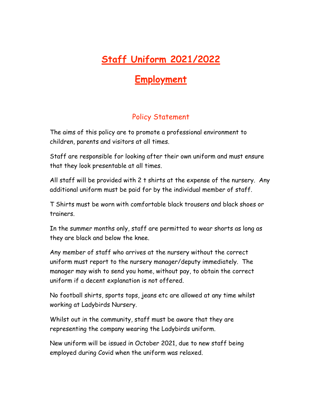## **Staff Uniform 2021/2022**

## **Employment**

## Policy Statement

The aims of this policy are to promote a professional environment to children, parents and visitors at all times.

Staff are responsible for looking after their own uniform and must ensure that they look presentable at all times.

All staff will be provided with 2 t shirts at the expense of the nursery. Any additional uniform must be paid for by the individual member of staff.

T Shirts must be worn with comfortable black trousers and black shoes or trainers.

In the summer months only, staff are permitted to wear shorts as long as they are black and below the knee.

Any member of staff who arrives at the nursery without the correct uniform must report to the nursery manager/deputy immediately. The manager may wish to send you home, without pay, to obtain the correct uniform if a decent explanation is not offered.

No football shirts, sports tops, jeans etc are allowed at any time whilst working at Ladybirds Nursery.

Whilst out in the community, staff must be aware that they are representing the company wearing the Ladybirds uniform.

New uniform will be issued in October 2021, due to new staff being employed during Covid when the uniform was relaxed.